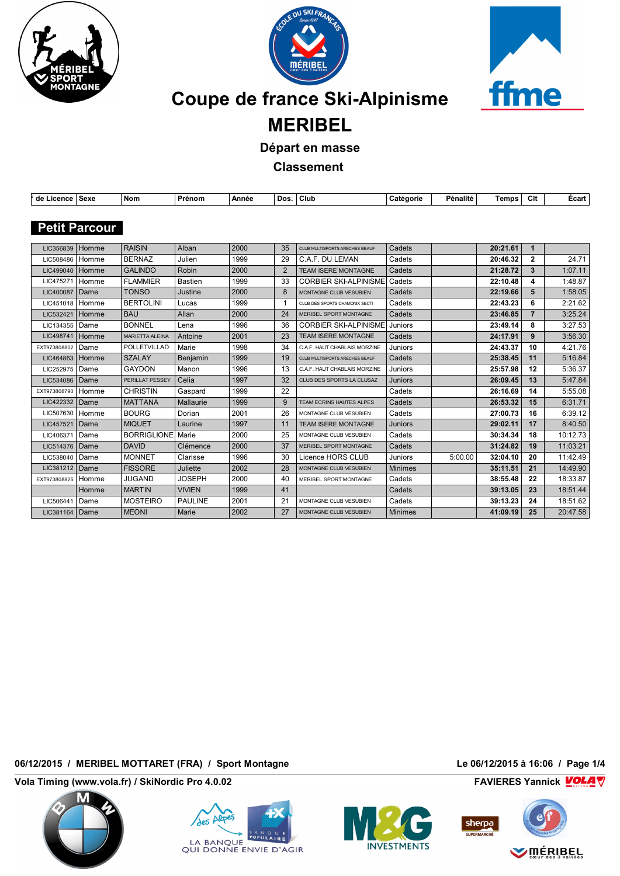





# **Coupe de france Ski-Alpinisme**

**MERIBEL**

**Départ en masse**

**Classement** 

| de Licence   Sexe    |       | <b>Nom</b>             | Prénom          | Année |    | Dos.   Club                     | Catégorie      | Pénalité | Temps    | Clt            | Écart    |
|----------------------|-------|------------------------|-----------------|-------|----|---------------------------------|----------------|----------|----------|----------------|----------|
|                      |       |                        |                 |       |    |                                 |                |          |          |                |          |
| <b>Petit Parcour</b> |       |                        |                 |       |    |                                 |                |          |          |                |          |
|                      |       |                        |                 |       |    |                                 |                |          |          |                |          |
| LIC356839            | Homme | <b>RAISIN</b>          | Alban           | 2000  | 35 | CLUB MULTISPORTS ARECHES BEAUF  | Cadets         |          | 20:21.61 | $\mathbf 1$    |          |
| LIC508486            | Homme | <b>BERNAZ</b>          | Julien          | 1999  | 29 | C.A.F. DU LEMAN                 | Cadets         |          | 20:46.32 | $\overline{2}$ | 24.71    |
| LIC499040            | Homme | <b>GALINDO</b>         | <b>Robin</b>    | 2000  | 2  | <b>TEAM ISERE MONTAGNE</b>      | Cadets         |          | 21:28.72 | 3              | 1:07.11  |
| LIC475271            | Homme | <b>FLAMMIER</b>        | <b>Bastien</b>  | 1999  | 33 | <b>CORBIER SKI-ALPINISME</b>    | Cadets         |          | 22:10.48 | 4              | 1:48.87  |
| LIC400087            | Dame  | <b>TONSO</b>           | Justine         | 2000  | 8  | MONTAGNE CLUB VESUBIEN          | Cadets         |          | 22:19.66 | 5              | 1:58.05  |
| LIC451018            | Homme | <b>BERTOLINI</b>       | Lucas           | 1999  | 1  | CLUB DES SPORTS CHAMONIX SECTI  | Cadets         |          | 22:43.23 | 6              | 2:21.62  |
| LIC532421            | Homme | <b>BAU</b>             | Allan           | 2000  | 24 | MERIBEL SPORT MONTAGNE          | Cadets         |          | 23:46.85 | $\overline{7}$ | 3:25.24  |
| LIC134355            | Dame  | <b>BONNEL</b>          | Lena            | 1996  | 36 | <b>CORBIER SKI-ALPINISME</b>    | Juniors        |          | 23:49.14 | 8              | 3:27.53  |
| LIC498741            | Homme | <b>MARIETTA ALEINA</b> | Antoine         | 2001  | 23 | <b>TEAM ISERE MONTAGNE</b>      | Cadets         |          | 24:17.91 | 9              | 3:56.30  |
| EXT973808802         | Dame  | POLLETVILLAD           | Marie           | 1998  | 34 | C.A.F. HAUT CHABLAIS MORZINE    | Juniors        |          | 24:43.37 | 10             | 4:21.76  |
| LIC464863            | Homme | <b>SZALAY</b>          | Benjamin        | 1999  | 19 | CLUB MULTISPORTS ARECHES BEAUF  | Cadets         |          | 25:38.45 | 11             | 5:16.84  |
| LIC252975            | Dame  | <b>GAYDON</b>          | Manon           | 1996  | 13 | C.A.F. HAUT CHABLAIS MORZINE    | Juniors        |          | 25:57.98 | 12             | 5:36.37  |
| LIC534086            | Dame  | PERILLAT PESSEY        | Celia           | 1997  | 32 | CLUB DES SPORTS LA CLUSAZ       | <b>Juniors</b> |          | 26:09.45 | 13             | 5:47.84  |
| EXT973808790         | Homme | <b>CHRISTIN</b>        | Gaspard         | 1999  | 22 |                                 | Cadets         |          | 26:16.69 | 14             | 5:55.08  |
| LIC422332            | Dame  | <b>MATTANA</b>         | Mallaurie       | 1999  | 9  | <b>TEAM ECRINS HAUTES ALPES</b> | Cadets         |          | 26:53.32 | 15             | 6:31.71  |
| LIC507630            | Homme | <b>BOURG</b>           | Dorian          | 2001  | 26 | MONTAGNE CLUB VESUBIEN          | Cadets         |          | 27:00.73 | 16             | 6:39.12  |
| LIC457521            | Dame  | <b>MIQUET</b>          | Laurine         | 1997  | 11 | <b>TEAM ISERE MONTAGNE</b>      | <b>Juniors</b> |          | 29:02.11 | 17             | 8:40.50  |
| LIC406371            | Dame  | <b>BORRIGLIONE</b>     | Marie           | 2000  | 25 | MONTAGNE CLUB VESUBIEN          | Cadets         |          | 30:34.34 | 18             | 10:12.73 |
| LIC514376            | Dame  | <b>DAVID</b>           | Clémence        | 2000  | 37 | MERIBEL SPORT MONTAGNE          | Cadets         |          | 31:24.82 | 19             | 11:03.21 |
| LIC538040            | Dame  | <b>MONNET</b>          | Clarisse        | 1996  | 30 | Licence HORS CLUB               | Juniors        | 5:00.00  | 32:04.10 | 20             | 11:42.49 |
| LIC381212            | Dame  | <b>FISSORE</b>         | <b>Juliette</b> | 2002  | 28 | MONTAGNE CLUB VESUBIEN          | <b>Minimes</b> |          | 35:11.51 | 21             | 14:49.90 |
| EXT973808825         | Homme | <b>JUGAND</b>          | <b>JOSEPH</b>   | 2000  | 40 | MERIBEL SPORT MONTAGNE          | Cadets         |          | 38:55.48 | 22             | 18:33.87 |
|                      | Homme | <b>MARTIN</b>          | <b>VIVIEN</b>   | 1999  | 41 |                                 | Cadets         |          | 39:13.05 | 23             | 18:51.44 |
| LIC506441            | Dame  | <b>MOSTEIRO</b>        | <b>PAULINE</b>  | 2001  | 21 | MONTAGNE CLUB VESUBIEN          | Cadets         |          | 39:13.23 | 24             | 18:51.62 |
| LIC381164            | Dame  | <b>MEONI</b>           | Marie           | 2002  | 27 | MONTAGNE CLUB VESUBIEN          | <b>Minimes</b> |          | 41:09.19 | 25             | 20:47.58 |

#### **06/12/2015 / MERIBEL MOTTARET (FRA) / Sport Montagne Le 06/12/2015 à 16:06 / Page 1/4**

**Vola Timing (www.vola.fr) / SkiNordic Pro 4.0.02 FAVIERES Yannick FAVIERES Yannick** 







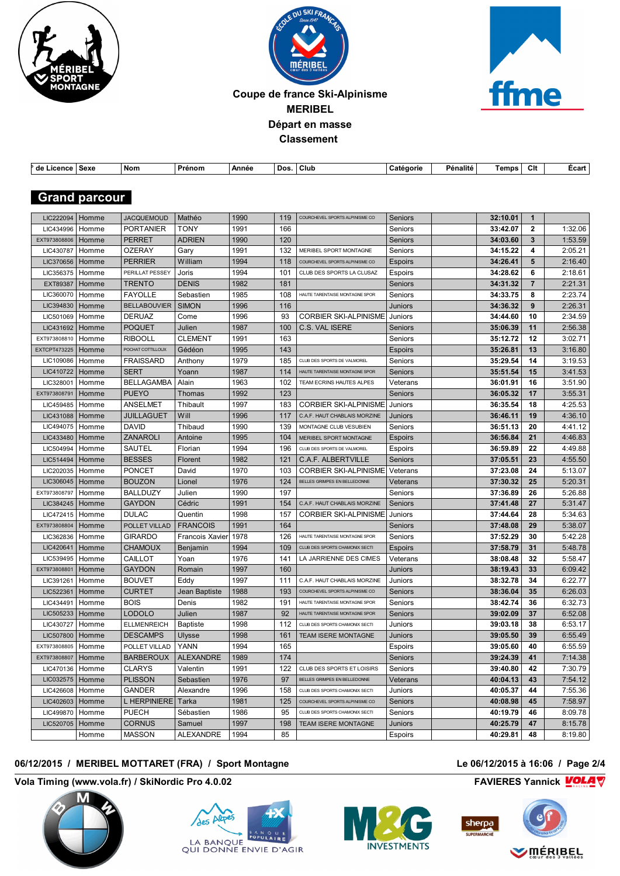





#### **Coupe de france Ski-Alpinisme MERIBEL Départ en masse Classement**

| de Licence   Sexe   |                      | Nom                 | Prénom           | Année |     | Dos.   Club                    | Catégorie      | Pénalité | Temps    | Clt            | Ecart   |
|---------------------|----------------------|---------------------|------------------|-------|-----|--------------------------------|----------------|----------|----------|----------------|---------|
|                     |                      |                     |                  |       |     |                                |                |          |          |                |         |
|                     | <b>Grand parcour</b> |                     |                  |       |     |                                |                |          |          |                |         |
|                     |                      |                     |                  |       |     |                                |                |          |          |                |         |
| LIC222094           | Homme                | <b>JACQUEMOUD</b>   | Mathéo           | 1990  | 119 | COURCHEVEL SPORTS ALPINISME CO | Seniors        |          | 32:10.01 | $\mathbf{1}$   |         |
| LIC434996           | Homme                | <b>PORTANIER</b>    | TONY             | 1991  | 166 |                                | Seniors        |          | 33:42.07 | $\mathbf{2}$   | 1:32.06 |
| EXT973808806        | Homme                | <b>PERRET</b>       | <b>ADRIEN</b>    | 1990  | 120 |                                | Seniors        |          | 34:03.60 | $\mathbf{3}$   | 1:53.59 |
| LIC430787           | Homme                | <b>OZERAY</b>       | Gary             | 1991  | 132 | MERIBEL SPORT MONTAGNE         | Seniors        |          | 34:15.22 | 4              | 2:05.21 |
| LIC370656           | Homme                | <b>PERRIER</b>      | William          | 1994  | 118 | COURCHEVEL SPORTS ALPINISME CO | <b>Espoirs</b> |          | 34:26.41 | 5              | 2:16.40 |
| LIC356375           | Homme                | PERILLAT PESSEY     | Joris            | 1994  | 101 | CLUB DES SPORTS LA CLUSAZ      | Espoirs        |          | 34:28.62 | 6              | 2:18.61 |
| EXT89387            | Homme                | <b>TRENTO</b>       | <b>DENIS</b>     | 1982  | 181 |                                | Seniors        |          | 34:31.32 | $\overline{7}$ | 2:21.31 |
| LIC360070           | Homme                | <b>FAYOLLE</b>      | Sebastien        | 1985  | 108 | HAUTE TARENTAISE MONTAGNE SPOR | Seniors        |          | 34:33.75 | 8              | 2:23.74 |
| LIC394830           | Homme                | <b>BELLABOUVIER</b> | <b>SIMON</b>     | 1996  | 116 |                                | Juniors        |          | 34:36.32 | 9              | 2:26.31 |
| LIC501069           | Homme                | <b>DERUAZ</b>       | Come             | 1996  | 93  | <b>CORBIER SKI-ALPINISME</b>   | Juniors        |          | 34:44.60 | 10             | 2:34.59 |
| LIC431692           | Homme                | <b>POQUET</b>       | Julien           | 1987  | 100 | C.S. VAL ISERE                 | <b>Seniors</b> |          | 35:06.39 | 11             | 2:56.38 |
| EXT973808810        | Homme                | <b>RIBOOLL</b>      | <b>CLEMENT</b>   | 1991  | 163 |                                | Seniors        |          | 35:12.72 | 12             | 3:02.71 |
| <b>EXTCPT473225</b> | Homme                | POCHAT COTTILLOUX   | Gédéon           | 1995  | 143 |                                | Espoirs        |          | 35:26.81 | 13             | 3:16.80 |
| LIC109086           |                      | <b>FRAISSARD</b>    |                  | 1979  | 185 | CLUB DES SPORTS DE VALMOREL    |                |          | 35:29.54 | 14             | 3:19.53 |
| LIC410722           | Homme                | <b>SERT</b>         | Anthony          |       | 114 | HAUTE TARENTAISE MONTAGNE SPOR | Seniors        |          |          | 15             | 3:41.53 |
|                     | Homme                |                     | Yoann            | 1987  |     |                                | Seniors        |          | 35:51.54 |                |         |
| LIC328001           | Homme                | <b>BELLAGAMBA</b>   | Alain            | 1963  | 102 | TEAM ECRINS HAUTES ALPES       | Veterans       |          | 36:01.91 | 16             | 3:51.90 |
| EXT973808791        | Homme                | <b>PUEYO</b>        | Thomas           | 1992  | 123 |                                | Seniors        |          | 36:05.32 | 17             | 3:55.31 |
| LIC459485           | Homme                | <b>ANSELMET</b>     | Thibault         | 1997  | 183 | <b>CORBIER SKI-ALPINISME</b>   | Juniors        |          | 36:35.54 | 18             | 4:25.53 |
| LIC431088           | Homme                | <b>JUILLAGUET</b>   | Will             | 1996  | 117 | C.A.F. HAUT CHABLAIS MORZINE   | Juniors        |          | 36:46.11 | 19             | 4:36.10 |
| LIC494075           | Homme                | <b>DAVID</b>        | Thibaud          | 1990  | 139 | MONTAGNE CLUB VESUBIEN         | Seniors        |          | 36:51.13 | 20             | 4:41.12 |
| LIC433480           | Homme                | ZANAROLI            | Antoine          | 1995  | 104 | MERIBEL SPORT MONTAGNE         | <b>Espoirs</b> |          | 36:56.84 | 21             | 4:46.83 |
| LIC504994           | Homme                | <b>SAUTEL</b>       | Florian          | 1994  | 196 | CLUB DES SPORTS DE VALMOREL    | Espoirs        |          | 36:59.89 | 22             | 4:49.88 |
| LIC514494           | Homme                | <b>BESSES</b>       | Florent          | 1982  | 121 | C.A.F. ALBERTVILLE             | Seniors        |          | 37:05.51 | 23             | 4:55.50 |
| LIC202035           | Homme                | <b>PONCET</b>       | David            | 1970  | 103 | <b>CORBIER SKI-ALPINISME</b>   | Veterans       |          | 37:23.08 | 24             | 5:13.07 |
| LIC306045           | Homme                | <b>BOUZON</b>       | Lionel           | 1976  | 124 | BELLES GRIMPES EN BELLEDONNE   | Veterans       |          | 37:30.32 | 25             | 5:20.31 |
| EXT973808797        | Homme                | <b>BALLDUZY</b>     | Julien           | 1990  | 197 |                                | Seniors        |          | 37:36.89 | 26             | 5:26.88 |
| LIC384245           | Homme                | <b>GAYDON</b>       | Cédric           | 1991  | 154 | C.A.F. HAUT CHABLAIS MORZINE   | Seniors        |          | 37:41.48 | 27             | 5:31.47 |
| LIC472415           | Homme                | <b>DULAC</b>        | Quentin          | 1998  | 157 | <b>CORBIER SKI-ALPINISME</b>   | Juniors        |          | 37:44.64 | 28             | 5:34.63 |
| EXT973808804        | Homme                | POLLET VILLAD       | <b>FRANCOIS</b>  | 1991  | 164 |                                | Seniors        |          | 37:48.08 | 29             | 5:38.07 |
| LIC362836           | Homme                | <b>GIRARDO</b>      | Francois Xavier  | 1978  | 126 | HAUTE TARENTAISE MONTAGNE SPOR | Seniors        |          | 37:52.29 | 30             | 5:42.28 |
| LIC420641           | Homme                | <b>CHAMOUX</b>      | Benjamin         | 1994  | 109 | CLUB DES SPORTS CHAMONIX SECTI | <b>Espoirs</b> |          | 37:58.79 | 31             | 5:48.78 |
| LIC539495           | Homme                | CAILLOT             | Yoan             | 1976  | 141 | LA JARRIENNE DES CIMES         | Veterans       |          | 38:08.48 | 32             | 5:58.47 |
| EXT973808801        | Homme                | <b>GAYDON</b>       | Romain           | 1997  | 160 |                                | Juniors        |          | 38:19.43 | 33             | 6:09.42 |
| LIC391261           | Homme                | <b>BOUVET</b>       | Eddy             | 1997  | 111 | C.A.F. HAUT CHABLAIS MORZINE   | Juniors        |          | 38:32.78 | 34             | 6:22.77 |
| LIC522361           | Homme                | <b>CURTET</b>       | Jean Baptiste    | 1988  | 193 | COURCHEVEL SPORTS ALPINISME CO | Seniors        |          | 38:36.04 | 35             | 6:26.03 |
| LIC434491           | Homme                | <b>BOIS</b>         | Denis            | 1982  | 191 | HAUTE TARENTAISE MONTAGNE SPOR | Seniors        |          | 38:42.74 | 36             | 6:32.73 |
| LIC505233           | Homme                | <b>LODOLO</b>       | Julien           | 1987  | 92  | HAUTE TARENTAISE MONTAGNE SPOR | Seniors        |          | 39:02.09 | 37             | 6:52.08 |
| LIC430727   Homme   |                      | <b>ELLMENREICH</b>  | <b>Baptiste</b>  | 1998  | 112 | CLUB DES SPORTS CHAMONIX SECTI | Juniors        |          | 39:03.18 | 38             | 6:53.17 |
| LIC507800   Homme   |                      | <b>DESCAMPS</b>     | Ulysse           | 1998  | 161 | <b>TEAM ISERE MONTAGNE</b>     | Juniors        |          | 39:05.50 | 39             | 6:55.49 |
| EXT973808805        | Homme                | POLLET VILLAD       | YANN             | 1994  | 165 |                                | Espoirs        |          | 39:05.60 | 40             | 6:55.59 |
| EXT973808807        | Homme                | <b>BARBEROUX</b>    | <b>ALEXANDRE</b> | 1989  | 174 |                                | Seniors        |          | 39:24.39 | 41             | 7:14.38 |
| LIC470136           | Homme                | <b>CLARYS</b>       | Valentin         | 1991  | 122 | CLUB DES SPORTS ET LOISIRS     | Seniors        |          | 39:40.80 | 42             | 7:30.79 |
| LIC032575           | Homme                | <b>PLISSON</b>      | Sebastien        | 1976  | 97  | BELLES GRIMPES EN BELLEDONNE   | Veterans       |          | 40:04.13 | 43             | 7:54.12 |
| LIC426608           | Homme                | <b>GANDER</b>       | Alexandre        | 1996  | 158 | CLUB DES SPORTS CHAMONIX SECTI | Juniors        |          | 40:05.37 | 44             | 7:55.36 |
| LIC402603           | Homme                | <b>L HERPINIERE</b> | Tarka            | 1981  | 125 | COURCHEVEL SPORTS ALPINISME CO | <b>Seniors</b> |          | 40:08.98 | 45             | 7:58.97 |
| LIC499870           | Homme                | <b>PUECH</b>        | Sébastien        | 1986  | 95  | CLUB DES SPORTS CHAMONIX SECTI | Seniors        |          | 40:19.79 | 46             | 8:09.78 |
| LIC520705           | Homme                | <b>CORNUS</b>       | Samuel           | 1997  | 198 | TEAM ISERE MONTAGNE            | Juniors        |          | 40:25.79 | 47             | 8:15.78 |
|                     | Homme                | <b>MASSON</b>       | ALEXANDRE        | 1994  | 85  |                                | Espoirs        |          | 40:29.81 | 48             | 8:19.80 |
|                     |                      |                     |                  |       |     |                                |                |          |          |                |         |

#### **06/12/2015 / MERIBEL MOTTARET (FRA) / Sport Montagne Le 06/12/2015 à 16:06 / Page 2/4**

**Vola Timing (www.vola.fr) / SkiNordic Pro 4.0.02 FAVIERES Yannick VOLA** 









 $\frac{1}{2}$ 

## **VOLÁRIBEL**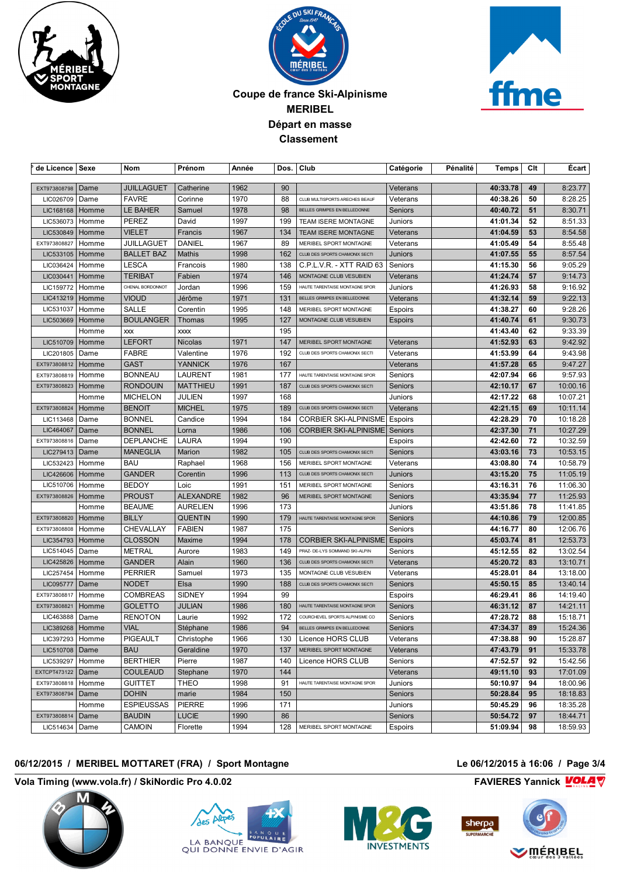





#### **Coupe de france Ski-Alpinisme MERIBEL Départ en masse Classement**

| de Licence   Sexe |       | Nom                               | Prénom           | Année        |          | Dos.   Club                    | Catégorie      | Pénalité | Temps    | Clt      | Ecart                |
|-------------------|-------|-----------------------------------|------------------|--------------|----------|--------------------------------|----------------|----------|----------|----------|----------------------|
| EXT973808798      |       |                                   |                  |              |          |                                |                |          |          |          |                      |
|                   | Dame  | <b>JUILLAGUET</b><br><b>FAVRE</b> | Catherine        | 1962         | 90<br>88 | CLUB MULTISPORTS ARECHES BEAUF | Veterans       |          | 40:33.78 | 49       | 8:23.77              |
| LIC026709         | Dame  |                                   | Corinne          | 1970<br>1978 | 98       | BELLES GRIMPES EN BELLEDONNE   | Veterans       |          | 40:38.26 | 50<br>51 | 8:28.25              |
| LIC168168         | Homme | LE BAHER                          | Samuel           |              |          |                                | Seniors        |          | 40:40.72 |          | 8:30.71              |
| LIC536073         | Homme | <b>PEREZ</b>                      | David            | 1997         | 199      | TEAM ISERE MONTAGNE            | Juniors        |          | 41:01.34 | 52       | 8:51.33              |
| LIC530849         | Homme | <b>VIELET</b>                     | Francis          | 1967         | 134      | <b>TEAM ISERE MONTAGNE</b>     | Veterans       |          | 41:04.59 | 53       | 8:54.58              |
| EXT973808827      | Homme | JUILLAGUET                        | DANIEL           | 1967         | 89       | MERIBEL SPORT MONTAGNE         | Veterans       |          | 41:05.49 | 54       | 8:55.48              |
| LIC533105         | Homme | <b>BALLET BAZ</b>                 | Mathis           | 1998         | 162      | CLUB DES SPORTS CHAMONIX SECTI | Juniors        |          | 41:07.55 | 55       | 8:57.54              |
| LIC036424         | Homme | <b>LESCA</b>                      | Francois         | 1980         | 138      | C.P.L.V.R. - XTT RAID 63       | Seniors        |          | 41:15.30 | 56       | 9:05.29              |
| LIC030441         | Homme | <b>TERIBAT</b>                    | Fabien           | 1974         | 146      | MONTAGNE CLUB VESUBIEN         | Veterans       |          | 41:24.74 | 57       | 9:14.73              |
| LIC159772         | Homme | CHENAL BORDONNOT                  | Jordan           | 1996         | 159      | HAUTE TARENTAISE MONTAGNE SPOR | Juniors        |          | 41:26.93 | 58       | 9:16.92              |
| LIC413219         | Homme | <b>VIOUD</b>                      | Jérôme           | 1971         | 131      | BELLES GRIMPES EN BELLEDONNE   | Veterans       |          | 41:32.14 | 59       | 9:22.13              |
| LIC531037         | Homme | <b>SALLE</b>                      | Corentin         | 1995         | 148      | MERIBEL SPORT MONTAGNE         | <b>Espoirs</b> |          | 41:38.27 | 60       | 9:28.26              |
| LIC503669         | Homme | <b>BOULANGER</b>                  | Thomas           | 1995         | 127      | MONTAGNE CLUB VESUBIEN         | <b>Espoirs</b> |          | 41:40.74 | 61       | 9:30.73              |
|                   | Homme | <b>XXX</b>                        | <b>XXXX</b>      |              | 195      |                                |                |          | 41:43.40 | 62       | 9:33.39              |
| LIC510709         | Homme | <b>LEFORT</b>                     | <b>Nicolas</b>   | 1971         | 147      | MERIBEL SPORT MONTAGNE         | Veterans       |          | 41:52.93 | 63       | 9:42.92              |
| LIC201805         | Dame  | <b>FABRE</b>                      | Valentine        | 1976         | 192      | CLUB DES SPORTS CHAMONIX SECTI | Veterans       |          | 41:53.99 | 64       | 9:43.98              |
| EXT973808812      | Homme | <b>GAST</b>                       | YANNICK          | 1976         | 167      |                                | Veterans       |          | 41:57.28 | 65       | 9:47.27              |
| EXT973808819      | Homme | <b>BONNEAU</b>                    | LAURENT          | 1981         | 177      | HAUTE TARENTAISE MONTAGNE SPOR | Seniors        |          | 42:07.94 | 66       | 9:57.93              |
| EXT973808823      | Homme | <b>RONDOUIN</b>                   | <b>MATTHIEU</b>  | 1991         | 187      | CLUB DES SPORTS CHAMONIX SECTI | Seniors        |          | 42:10.17 | 67       | 10:00.16             |
|                   | Homme | <b>MICHELON</b>                   | JULIEN           | 1997         | 168      |                                | Juniors        |          | 42:17.22 | 68       | 10:07.21             |
| EXT973808824      | Homme | <b>BENOIT</b>                     | <b>MICHEL</b>    | 1975         | 189      | CLUB DES SPORTS CHAMONIX SECTI | Veterans       |          | 42:21.15 | 69       | 10:11.14             |
| LIC113468         | Dame  | <b>BONNEL</b>                     | Candice          | 1994         | 184      | <b>CORBIER SKI-ALPINISME</b>   | <b>Espoirs</b> |          | 42:28.29 | 70       | 10:18.28             |
| LIC464067         | Dame  | <b>BONNEL</b>                     | Lorna            | 1986         | 106      | <b>CORBIER SKI-ALPINISME</b>   | Seniors        |          | 42:37.30 | 71       | 10:27.29             |
| EXT973808816      | Dame  | <b>DEPLANCHE</b>                  | LAURA            | 1994         | 190      |                                | <b>Espoirs</b> |          | 42:42.60 | 72       | 10:32.59             |
| LIC279413         | Dame  | <b>MANEGLIA</b>                   | Marion           | 1982         | 105      | CLUB DES SPORTS CHAMONIX SECTI | Seniors        |          | 43:03.16 | 73       | 10:53.15             |
| LIC532423         | Homme | <b>BAU</b>                        | Raphael          | 1968         | 156      | MERIBEL SPORT MONTAGNE         | Veterans       |          | 43:08.80 | 74       | 10:58.79             |
| LIC426606         | Homme | <b>GANDER</b>                     | Corentin         | 1996         | 113      | CLUB DES SPORTS CHAMONIX SECTI | Juniors        |          | 43:15.20 | 75       | 11:05.19             |
| LIC510706         | Homme | <b>BEDOY</b>                      | Loic             | 1991         | 151      | MERIBEL SPORT MONTAGNE         | Seniors        |          | 43:16.31 | 76       | 11:06.30             |
| EXT973808826      | Homme | <b>PROUST</b>                     | <b>ALEXANDRE</b> | 1982         | 96       | MERIBEL SPORT MONTAGNE         | Seniors        |          | 43:35.94 | 77       | 11:25.93             |
|                   | Homme | <b>BEAUME</b>                     | <b>AURELIEN</b>  | 1996         | 173      |                                | Juniors        |          | 43:51.86 | 78       | 11:41.85             |
| EXT973808820      | Homme | <b>BILLY</b>                      | <b>QUENTIN</b>   | 1990         | 179      | HAUTE TARENTAISE MONTAGNE SPOR | Seniors        |          | 44:10.86 | 79       | 12:00.85             |
| EXT973808808      | Homme | CHEVALLAY                         | <b>FABIEN</b>    | 1987         | 175      |                                | Seniors        |          | 44:16.77 | 80       | 12:06.76             |
| LIC354793         | Homme | <b>CLOSSON</b>                    | Maxime           | 1994         | 178      | <b>CORBIER SKI-ALPINISME</b>   | <b>Espoirs</b> |          | 45:03.74 | 81       | 12:53.73             |
| LIC514045         | Dame  | <b>METRAL</b>                     | Aurore           | 1983         | 149      | PRAZ- DE-LYS SOMMAND SKI-ALPIN | Seniors        |          | 45:12.55 | 82       | 13:02.54             |
| LIC425826         | Homme | <b>GANDER</b>                     | Alain            | 1960         | 136      | CLUB DES SPORTS CHAMONIX SECTI | Veterans       |          | 45:20.72 | 83       | 13:10.71             |
|                   |       | <b>PERRIER</b>                    |                  | 1973         | 135      | MONTAGNE CLUB VESUBIEN         |                |          |          | 84       | 13:18.00             |
| LIC257454         | Homme | <b>NODET</b>                      | Samuel           | 1990         | 188      |                                | Veterans       |          | 45:28.01 | 85       |                      |
| LIC095777         | Dame  |                                   | Elsa             |              |          | CLUB DES SPORTS CHAMONIX SECTI | Seniors        |          | 45:50.15 |          | 13:40.14             |
| EXT973808817      | Homme | <b>COMBREAS</b>                   | <b>SIDNEY</b>    | 1994         | 99       |                                | Espoirs        |          | 46:29.41 | 86       | 14:19.40<br>14:21.11 |
| EXT973808821      | Homme | <b>GOLETTO</b>                    | JULIAN           | 1986         | 180      | HAUTE TARENTAISE MONTAGNE SPOR | Seniors        |          | 46:31.12 | 87       |                      |
| LIC463888         | Dame  | <b>RENOTON</b>                    | Laurie           | 1992         | 172      | COURCHEVEL SPORTS ALPINISME CO | Seniors        |          | 47:28.72 | 88       | 15:18.71             |
| LIC389268   Homme |       | <b>VIAL</b>                       | Stéphane         | 1986         | 94       | BELLES GRIMPES EN BELLEDONNE   | Seniors        |          | 47:34.37 | 89       | 15:24.36             |
| LIC397293         | Homme | PIGEAULT                          | Christophe       | 1966         | 130      | Licence HORS CLUB              | Veterans       |          | 47:38.88 | 90       | 15:28.87             |
| LIC510708         | Dame  | <b>BAU</b>                        | Geraldine        | 1970         | 137      | MERIBEL SPORT MONTAGNE         | Veterans       |          | 47:43.79 | 91       | 15:33.78             |
| LIC539297         | Homme | <b>BERTHIER</b>                   | Pierre           | 1987         | 140      | Licence HORS CLUB              | Seniors        |          | 47:52.57 | 92       | 15:42.56             |
| EXTCPT473122      | Dame  | <b>COULEAUD</b>                   | Stephane         | 1970         | 144      |                                | Veterans       |          | 49:11.10 | 93       | 17:01.09             |
| EXT973808818      | Homme | <b>GUITTET</b>                    | THEO             | 1998         | 91       | HAUTE TARENTAISE MONTAGNE SPOR | Juniors        |          | 50:10.97 | 94       | 18:00.96             |
| EXT973808794      | Dame  | <b>DOHIN</b>                      | marie            | 1984         | 150      |                                | Seniors        |          | 50:28.84 | 95       | 18:18.83             |
|                   | Homme | <b>ESPIEUSSAS</b>                 | PIERRE           | 1996         | 171      |                                | Juniors        |          | 50:45.29 | 96       | 18:35.28             |
| EXT973808814      | Dame  | <b>BAUDIN</b>                     | <b>LUCIE</b>     | 1990         | 86       |                                | Seniors        |          | 50:54.72 | 97       | 18:44.71             |
| LIC514634         | Dame  | CAMOIN                            | Florette         | 1994         | 128      | MERIBEL SPORT MONTAGNE         | Espoirs        |          | 51:09.94 | 98       | 18:59.93             |
|                   |       |                                   |                  |              |          |                                |                |          |          |          |                      |

#### **06/12/2015 / MERIBEL MOTTARET (FRA) / Sport Montagne Le 06/12/2015 à 16:06 / Page 3/4**

**Vola Timing (www.vola.fr) / SkiNordic Pro 4.0.02 FAVIERES Yannick FAVIERES Yannick**